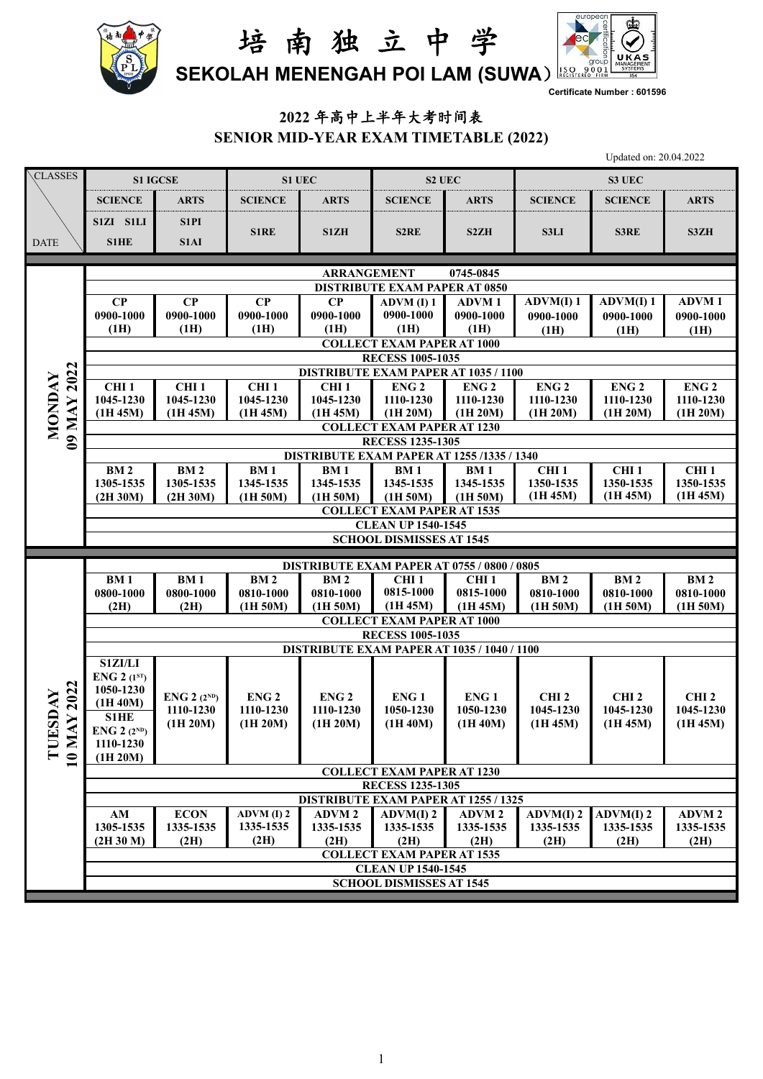



**Certificate Number : 601596**

## **2022** 年高中上半年大考时间表 **SENIOR MID-YEAR EXAM TIMETABLE (2022)**

Updated on: 20.04.2022

| CLASSES                   | <b>S1 IGCSE</b>                                                         |                                                                        | S1 UEC                        |                               | S2 UEC                                                                 |                               | S3 UEC                        |                               |                               |  |  |  |  |
|---------------------------|-------------------------------------------------------------------------|------------------------------------------------------------------------|-------------------------------|-------------------------------|------------------------------------------------------------------------|-------------------------------|-------------------------------|-------------------------------|-------------------------------|--|--|--|--|
|                           | <b>SCIENCE</b>                                                          | <b>ARTS</b>                                                            | <b>SCIENCE</b>                | <b>ARTS</b>                   | <b>SCIENCE</b>                                                         | <b>ARTS</b>                   | <b>SCIENCE</b>                | <b>SCIENCE</b>                | <b>ARTS</b>                   |  |  |  |  |
|                           | S1ZI S1LI                                                               | S1PI                                                                   |                               |                               |                                                                        |                               |                               |                               |                               |  |  |  |  |
| <b>DATE</b>               | S1HE                                                                    | S1AI                                                                   | <b>S1RE</b>                   | S1ZH                          | S <sub>2</sub> RE                                                      | S <sub>2</sub> ZH             | <b>S3LI</b>                   | S3RE                          | S3ZH                          |  |  |  |  |
|                           |                                                                         |                                                                        |                               |                               |                                                                        |                               |                               |                               |                               |  |  |  |  |
|                           | <b>ARRANGEMENT</b><br>0745-0845<br><b>DISTRIBUTE EXAM PAPER AT 0850</b> |                                                                        |                               |                               |                                                                        |                               |                               |                               |                               |  |  |  |  |
|                           | $\bf CP$                                                                | $\bf CP$                                                               | $\bf CP$                      | $\bf CP$                      | $ADVM$ (I) 1                                                           | <b>ADVM1</b>                  | ADVM(I) 1                     | ADVM(I) 1                     | <b>ADVM1</b>                  |  |  |  |  |
|                           | 0900-1000                                                               | 0900-1000                                                              | 0900-1000                     | 0900-1000                     | 0900-1000                                                              | 0900-1000                     | 0900-1000                     | 0900-1000                     | 0900-1000                     |  |  |  |  |
|                           | (1H)                                                                    | (1H)                                                                   | (1H)                          | (1H)                          | (1H)                                                                   | (1H)                          | (1H)                          | (1H)                          | (1H)                          |  |  |  |  |
|                           | <b>COLLECT EXAM PAPER AT 1000</b>                                       |                                                                        |                               |                               |                                                                        |                               |                               |                               |                               |  |  |  |  |
|                           |                                                                         |                                                                        |                               |                               | <b>RECESS 1005-1035</b><br><b>DISTRIBUTE EXAM PAPER AT 1035 / 1100</b> |                               |                               |                               |                               |  |  |  |  |
|                           | CHI <sub>1</sub>                                                        | CHI <sub>1</sub>                                                       | CHI <sub>1</sub>              | CHI <sub>1</sub>              | ENG <sub>2</sub>                                                       | ENG <sub>2</sub>              | ENG <sub>2</sub>              | ENG <sub>2</sub>              | ENG <sub>2</sub>              |  |  |  |  |
|                           | 1045-1230                                                               | 1045-1230                                                              | 1045-1230                     | 1045-1230                     | 1110-1230                                                              | 1110-1230                     | 1110-1230                     | 1110-1230                     | 1110-1230                     |  |  |  |  |
| MONDAY                    | (1H 45M)                                                                | (1H 45M)                                                               | (1H 45M)                      | (1H 45M)                      | (1H 20M)                                                               | (1H 20M)                      | (1H 20M)                      | (1H 20M)                      | (1H 20M)                      |  |  |  |  |
| 09 MAY 2022               |                                                                         | <b>COLLECT EXAM PAPER AT 1230</b><br><b>RECESS 1235-1305</b>           |                               |                               |                                                                        |                               |                               |                               |                               |  |  |  |  |
|                           |                                                                         |                                                                        |                               |                               | DISTRIBUTE EXAM PAPER AT 1255 /1335 / 1340                             |                               |                               |                               |                               |  |  |  |  |
|                           | <b>BM2</b>                                                              | BM <sub>2</sub>                                                        | BM <sub>1</sub>               | <b>BM1</b>                    | <b>BM1</b>                                                             | <b>BM1</b>                    | CHI <sub>1</sub>              | CHI <sub>1</sub>              | CHI <sub>1</sub>              |  |  |  |  |
|                           | 1305-1535<br>(2H 30M)                                                   | 1305-1535<br>(2H 30M)                                                  | 1345-1535<br>(1H 50M)         | 1345-1535<br>(1H 50M)         | 1345-1535<br>(1H 50M)                                                  | 1345-1535<br>(1H 50M)         | 1350-1535<br>(1H 45M)         | 1350-1535<br>(1H 45M)         | 1350-1535<br>(1H 45M)         |  |  |  |  |
|                           |                                                                         |                                                                        |                               |                               | <b>COLLECT EXAM PAPER AT 1535</b>                                      |                               |                               |                               |                               |  |  |  |  |
|                           |                                                                         |                                                                        |                               |                               | <b>CLEAN UP 1540-1545</b>                                              |                               |                               |                               |                               |  |  |  |  |
|                           |                                                                         |                                                                        |                               |                               | <b>SCHOOL DISMISSES AT 1545</b>                                        |                               |                               |                               |                               |  |  |  |  |
|                           |                                                                         |                                                                        |                               |                               | <b>DISTRIBUTE EXAM PAPER AT 0755 / 0800 / 0805</b>                     |                               |                               |                               |                               |  |  |  |  |
|                           | <b>BM1</b>                                                              | BM <sub>1</sub>                                                        | <b>BM2</b>                    | <b>BM2</b>                    | CHI <sub>1</sub>                                                       | CHI <sub>1</sub>              | <b>BM2</b>                    | <b>BM2</b>                    | <b>BM2</b>                    |  |  |  |  |
|                           | 0800-1000                                                               | 0800-1000                                                              | 0810-1000                     | 0810-1000                     | 0815-1000<br>(1H 45M)                                                  | 0815-1000<br>(1H 45M)         | 0810-1000                     | 0810-1000                     | 0810-1000                     |  |  |  |  |
|                           | (2H)                                                                    | (2H)                                                                   | (1H 50M)                      | (1H 50M)                      | <b>COLLECT EXAM PAPER AT 1000</b>                                      |                               | (1H 50M)                      | (1H 50M)                      | (1H 50M)                      |  |  |  |  |
|                           |                                                                         |                                                                        |                               |                               | <b>RECESS 1005-1035</b>                                                |                               |                               |                               |                               |  |  |  |  |
|                           |                                                                         |                                                                        |                               |                               | DISTRIBUTE EXAM PAPER AT 1035 / 1040 / 1100                            |                               |                               |                               |                               |  |  |  |  |
|                           | S1ZI/LI<br><b>ENG 2</b> $(1^{ST})$                                      |                                                                        |                               |                               |                                                                        |                               |                               |                               |                               |  |  |  |  |
|                           | 1050-1230                                                               |                                                                        |                               |                               |                                                                        |                               |                               |                               |                               |  |  |  |  |
| IAY 2022<br>ESDAY         | (1H 40M)                                                                | <b>ENG 2</b> $(2^{ND})$<br>1110-1230                                   | ENG <sub>2</sub><br>1110-1230 | ENG <sub>2</sub><br>1110-1230 | ENG <sub>1</sub><br>1050-1230                                          | ENG <sub>1</sub><br>1050-1230 | CHI <sub>2</sub><br>1045-1230 | CHI <sub>2</sub><br>1045-1230 | CHI <sub>2</sub><br>1045-1230 |  |  |  |  |
|                           | <b>S1HE</b><br><b>ENG 2</b> $(2^{ND})$                                  | (1H 20M)                                                               | (1H 20M)                      | (1H 20M)                      | (1H 40M)                                                               | (1H 40M)                      | (1H 45M)                      | (1H 45M)                      | (1H 45M)                      |  |  |  |  |
| $\geq$                    | 1110-1230                                                               |                                                                        |                               |                               |                                                                        |                               |                               |                               |                               |  |  |  |  |
| $\mathbf{U}$<br>$\bullet$ | (1H 20M)                                                                |                                                                        |                               |                               |                                                                        |                               |                               |                               |                               |  |  |  |  |
|                           |                                                                         |                                                                        |                               |                               | <b>COLLECT EXAM PAPER AT 1230</b>                                      |                               |                               |                               |                               |  |  |  |  |
|                           |                                                                         | <b>RECESS 1235-1305</b><br><b>DISTRIBUTE EXAM PAPER AT 1255 / 1325</b> |                               |                               |                                                                        |                               |                               |                               |                               |  |  |  |  |
|                           | AM                                                                      | <b>ECON</b>                                                            | ADVM(I) 2                     | <b>ADVM2</b>                  | ADVM(I) 2                                                              | <b>ADVM 2</b>                 | ADVM(I) 2                     | ADVM(I) 2                     | <b>ADVM2</b>                  |  |  |  |  |
|                           | 1305-1535                                                               | 1335-1535                                                              | 1335-1535                     | 1335-1535                     | 1335-1535                                                              | 1335-1535                     | 1335-1535                     | 1335-1535                     | 1335-1535                     |  |  |  |  |
|                           | (2H 30 M)                                                               | (2H)                                                                   | (2H)                          | (2H)                          | (2H)                                                                   | (2H)                          | (2H)                          | (2H)                          | (2H)                          |  |  |  |  |
|                           |                                                                         | <b>COLLECT EXAM PAPER AT 1535</b><br><b>CLEAN UP 1540-1545</b>         |                               |                               |                                                                        |                               |                               |                               |                               |  |  |  |  |
|                           | <b>SCHOOL DISMISSES AT 1545</b>                                         |                                                                        |                               |                               |                                                                        |                               |                               |                               |                               |  |  |  |  |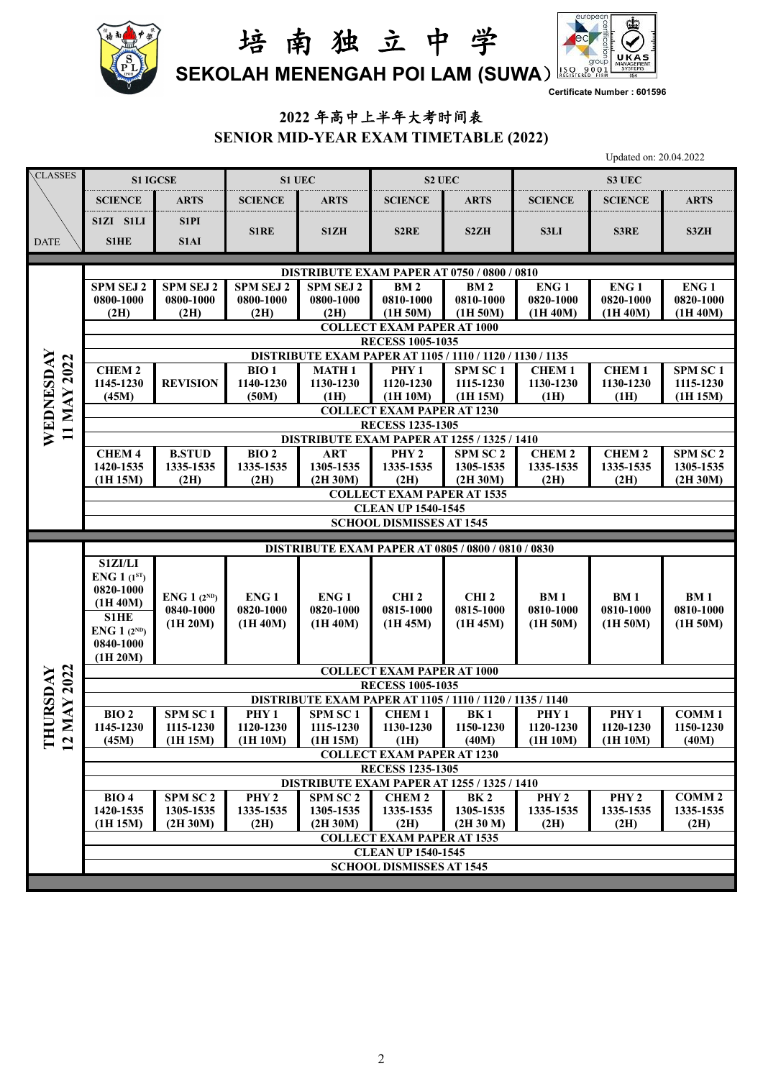



**Certificate Number : 601596**

## **2022** 年高中上半年大考时间表 **SENIOR MID-YEAR EXAM TIMETABLE (2022)**

Updated on: 20.04.2022

| CLASSES                    | <b>S1 IGCSE</b>                                                               |                     | S1 UEC           |                                                                  | <b>S2 UEC</b>                                                  |                      | <b>S3 UEC</b>    |                  |                     |  |  |  |  |
|----------------------------|-------------------------------------------------------------------------------|---------------------|------------------|------------------------------------------------------------------|----------------------------------------------------------------|----------------------|------------------|------------------|---------------------|--|--|--|--|
|                            | <b>SCIENCE</b>                                                                | <b>ARTS</b>         | <b>SCIENCE</b>   | <b>ARTS</b>                                                      | <b>SCIENCE</b>                                                 | <b>ARTS</b>          | <b>SCIENCE</b>   | <b>SCIENCE</b>   | <b>ARTS</b>         |  |  |  |  |
|                            |                                                                               |                     |                  |                                                                  |                                                                |                      |                  |                  |                     |  |  |  |  |
|                            | S1ZI S1LI                                                                     | S1PI                | <b>S1RE</b>      | S1ZH                                                             | S <sub>2</sub> RE                                              | S <sub>2</sub> ZH    | S3LI             | S3RE             | S3ZH                |  |  |  |  |
| <b>DATE</b>                | <b>S1HE</b>                                                                   | S1AI                |                  |                                                                  |                                                                |                      |                  |                  |                     |  |  |  |  |
|                            |                                                                               |                     |                  | <b>DISTRIBUTE EXAM PAPER AT 0750 / 0800 / 0810</b>               |                                                                |                      |                  |                  |                     |  |  |  |  |
|                            | <b>SPM SEJ 2</b>                                                              | <b>SPM SEJ 2</b>    | SPM SEJ 2        | <b>SPM SEJ 2</b>                                                 | <b>BM2</b>                                                     | <b>BM2</b>           | ENG <sub>1</sub> | ENG <sub>1</sub> | ENG <sub>1</sub>    |  |  |  |  |
|                            | 0800-1000                                                                     | 0800-1000           | 0800-1000        | 0800-1000                                                        | 0810-1000                                                      | 0810-1000            | 0820-1000        | 0820-1000        | 0820-1000           |  |  |  |  |
|                            | (2H)                                                                          | (2H)                | (2H)             | (2H)                                                             | (1H 50M)                                                       | (1H 50M)             | (1H 40M)         | (1H 40M)         | (1H 40M)            |  |  |  |  |
|                            | <b>COLLECT EXAM PAPER AT 1000</b><br><b>RECESS 1005-1035</b>                  |                     |                  |                                                                  |                                                                |                      |                  |                  |                     |  |  |  |  |
|                            |                                                                               |                     |                  | <b>DISTRIBUTE EXAM PAPER AT 1105 / 1110 / 1120 / 1130 / 1135</b> |                                                                |                      |                  |                  |                     |  |  |  |  |
|                            | <b>CHEM2</b>                                                                  |                     | <b>BIO1</b>      | <b>MATH1</b>                                                     | PHY <sub>1</sub>                                               | SPM SC <sub>1</sub>  | <b>CHEM1</b>     | <b>CHEM1</b>     | SPM SC <sub>1</sub> |  |  |  |  |
|                            | 1145-1230                                                                     | <b>REVISION</b>     | 1140-1230        | 1130-1230                                                        | 1120-1230                                                      | 1115-1230            | 1130-1230        | 1130-1230        | 1115-1230           |  |  |  |  |
|                            | (45M)                                                                         |                     | (50M)            | (1H)                                                             | (1H 10M)                                                       | (1H 15M)             | (1H)             | (1H)             | (1H 15M)            |  |  |  |  |
| <b>MAY 2022</b>            | <b>COLLECT EXAM PAPER AT 1230</b>                                             |                     |                  |                                                                  |                                                                |                      |                  |                  |                     |  |  |  |  |
| WEDNESDAY<br>$\mathbf{1}$  | <b>RECESS 1235-1305</b><br><b>DISTRIBUTE EXAM PAPER AT 1255 / 1325 / 1410</b> |                     |                  |                                                                  |                                                                |                      |                  |                  |                     |  |  |  |  |
|                            | CHEM 4                                                                        | <b>B.STUD</b>       | BIO <sub>2</sub> | <b>ART</b>                                                       | PHY <sub>2</sub>                                               | SPM SC <sub>2</sub>  | <b>CHEM2</b>     | <b>CHEM2</b>     | SPM SC <sub>2</sub> |  |  |  |  |
|                            | 1420-1535                                                                     | 1335-1535           | 1335-1535        | 1305-1535                                                        | 1335-1535                                                      | 1305-1535            | 1335-1535        | 1335-1535        | 1305-1535           |  |  |  |  |
|                            | (1H 15M)                                                                      | (2H)                | (2H)             | (2H 30M)                                                         | (2H)                                                           | (2H 30M)             | (2H)             | (2H)             | (2H 30M)            |  |  |  |  |
|                            |                                                                               |                     |                  |                                                                  | <b>COLLECT EXAM PAPER AT 1535</b>                              |                      |                  |                  |                     |  |  |  |  |
|                            |                                                                               |                     |                  |                                                                  | <b>CLEAN UP 1540-1545</b><br><b>SCHOOL DISMISSES AT 1545</b>   |                      |                  |                  |                     |  |  |  |  |
|                            |                                                                               |                     |                  |                                                                  |                                                                |                      |                  |                  |                     |  |  |  |  |
|                            |                                                                               |                     |                  |                                                                  |                                                                |                      |                  |                  |                     |  |  |  |  |
|                            |                                                                               |                     |                  |                                                                  | <b>DISTRIBUTE EXAM PAPER AT 0805 / 0800 / 0810 / 0830</b>      |                      |                  |                  |                     |  |  |  |  |
|                            | S1ZI/LI                                                                       |                     |                  |                                                                  |                                                                |                      |                  |                  |                     |  |  |  |  |
|                            | <b>ENG</b> 1 $(1^{ST})$<br>0820-1000                                          |                     |                  |                                                                  |                                                                |                      |                  |                  |                     |  |  |  |  |
|                            | (1H 40M)                                                                      | ENG $1(2^{ND})$     | ENG <sub>1</sub> | ENG <sub>1</sub>                                                 | CHI <sub>2</sub>                                               | CHI <sub>2</sub>     | <b>BM1</b>       | <b>BM1</b>       | <b>BM1</b>          |  |  |  |  |
|                            | S1HE                                                                          | 0840-1000           | 0820-1000        | 0820-1000<br>(1H 40M)                                            | 0815-1000<br>(1H 45M)                                          | 0815-1000            | 0810-1000        | 0810-1000        | 0810-1000           |  |  |  |  |
|                            | <b>ENG 1</b> $(2^{ND})$                                                       | (1H 20M)            | (1H 40M)         |                                                                  |                                                                | (1H 45M)             | (1H 50M)         | (1H 50M)         | (1H 50M)            |  |  |  |  |
|                            | 0840-1000                                                                     |                     |                  |                                                                  |                                                                |                      |                  |                  |                     |  |  |  |  |
|                            | (1H 20M)                                                                      |                     |                  |                                                                  | <b>COLLECT EXAM PAPER AT 1000</b>                              |                      |                  |                  |                     |  |  |  |  |
|                            |                                                                               |                     |                  |                                                                  | <b>RECESS 1005-1035</b>                                        |                      |                  |                  |                     |  |  |  |  |
|                            |                                                                               |                     |                  | DISTRIBUTE EXAM PAPER AT 1105 / 1110 / 1120 / 1135 / 1140        |                                                                |                      |                  |                  |                     |  |  |  |  |
|                            | BIO <sub>2</sub>                                                              | SPM SC <sub>1</sub> | PHY <sub>1</sub> | <b>SPM SC1</b>                                                   | <b>CHEM1</b>                                                   | BK1                  | PHY <sub>1</sub> | PHY <sub>1</sub> | <b>COMM1</b>        |  |  |  |  |
| <b>MAY 2022</b><br>HURSDAY | 1145-1230                                                                     | 1115-1230           | 1120-1230        | 1115-1230                                                        | 1130-1230                                                      | 1150-1230            | 1120-1230        | 1120-1230        | 1150-1230           |  |  |  |  |
| E 2                        | (45M)                                                                         | (1H 15M)            | (1H 10M)         | (1H 15M)                                                         | (1H)<br><b>COLLECT EXAM PAPER AT 1230</b>                      | (40M)                | (1H 10M)         | (1H 10M)         | (40M)               |  |  |  |  |
|                            |                                                                               |                     |                  |                                                                  | <b>RECESS 1235-1305</b>                                        |                      |                  |                  |                     |  |  |  |  |
|                            |                                                                               |                     |                  | DISTRIBUTE EXAM PAPER AT 1255 / 1325 / 1410                      |                                                                |                      |                  |                  |                     |  |  |  |  |
|                            | <b>BIO 4</b>                                                                  | SPM SC <sub>2</sub> | PHY <sub>2</sub> | SPM SC <sub>2</sub>                                              | <b>CHEM2</b>                                                   | <b>BK2</b>           | PHY <sub>2</sub> | PHY <sub>2</sub> | <b>COMM2</b>        |  |  |  |  |
|                            | 1420-1535                                                                     | 1305-1535           | 1335-1535        | 1305-1535                                                        | 1335-1535                                                      | 1305-1535            | 1335-1535        | 1335-1535        | 1335-1535           |  |  |  |  |
|                            | (1H 15M)                                                                      | (2H 30M)            | (2H)             | (2H 30M)                                                         | (2H)                                                           | (2H <sub>30</sub> M) | (2H)             | (2H)             | (2H)                |  |  |  |  |
|                            |                                                                               |                     |                  |                                                                  | <b>COLLECT EXAM PAPER AT 1535</b><br><b>CLEAN UP 1540-1545</b> |                      |                  |                  |                     |  |  |  |  |
|                            |                                                                               |                     |                  |                                                                  | <b>SCHOOL DISMISSES AT 1545</b>                                |                      |                  |                  |                     |  |  |  |  |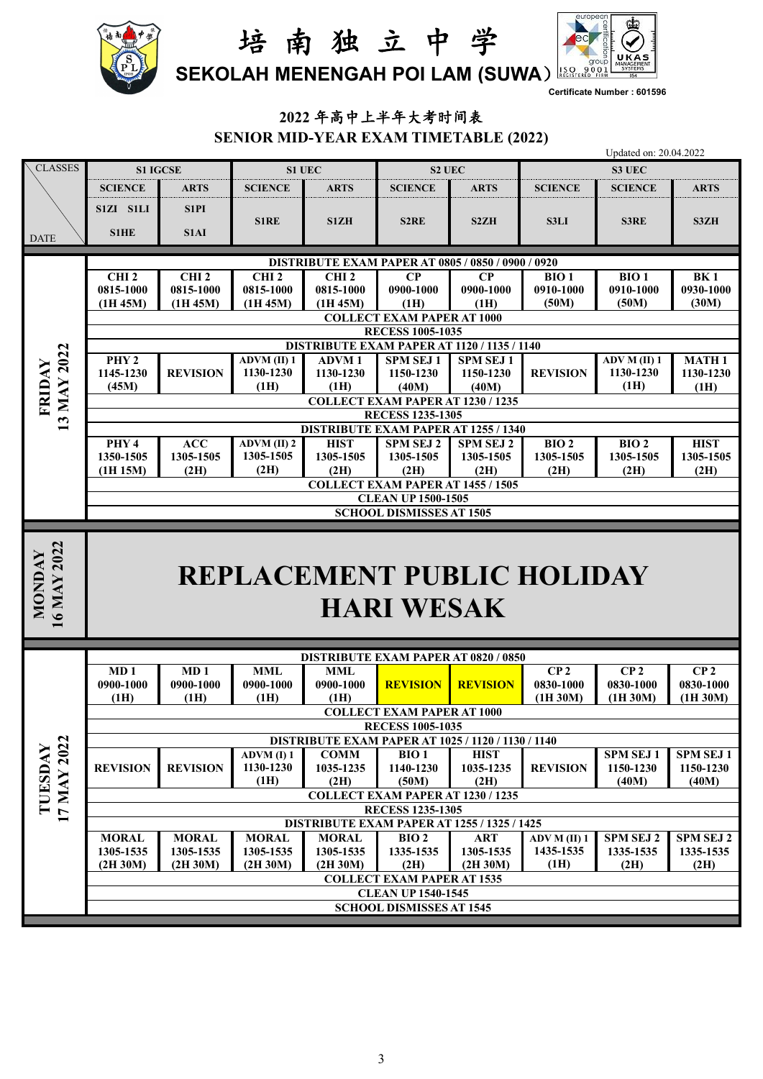



**Certificate Number : 601596**

## **2022** 年高中上半年大考时间表 **SENIOR MID-YEAR EXAM TIMETABLE (2022)**

| <b>CLASSES</b>        |                                                              | <b>S1 IGCSE</b>           |                           | S1 UEC                                                                 | S2 UEC                                                                               |                              |                                   | S3 UEC                       |                               |  |  |  |
|-----------------------|--------------------------------------------------------------|---------------------------|---------------------------|------------------------------------------------------------------------|--------------------------------------------------------------------------------------|------------------------------|-----------------------------------|------------------------------|-------------------------------|--|--|--|
|                       | <b>SCIENCE</b>                                               | <b>ARTS</b>               | <b>SCIENCE</b>            | <b>ARTS</b>                                                            | <b>SCIENCE</b>                                                                       | <b>ARTS</b>                  | <b>SCIENCE</b>                    | <b>SCIENCE</b>               | <b>ARTS</b>                   |  |  |  |
|                       | S1ZI S1LI                                                    | S1PI                      |                           |                                                                        |                                                                                      |                              |                                   |                              |                               |  |  |  |
|                       |                                                              |                           | <b>S1RE</b>               | S1ZH                                                                   | S <sub>2</sub> RE                                                                    | S2ZH                         | <b>S3LI</b>                       | <b>S3RE</b>                  | S3ZH                          |  |  |  |
| <b>DATE</b>           | <b>S1HE</b>                                                  | <b>S1AI</b>               |                           |                                                                        |                                                                                      |                              |                                   |                              |                               |  |  |  |
|                       |                                                              |                           |                           |                                                                        | <b>DISTRIBUTE EXAM PAPER AT 0805 / 0850 / 0900 / 0920</b>                            |                              |                                   |                              |                               |  |  |  |
|                       | CHI <sub>2</sub>                                             | CHI <sub>2</sub>          | CHI <sub>2</sub>          | CHI <sub>2</sub>                                                       | $\bf CP$                                                                             | $\bf CP$                     | BIO <sub>1</sub>                  | BIO <sub>1</sub>             | <b>BK1</b>                    |  |  |  |
|                       | 0815-1000<br>(1H 45M)                                        | 0815-1000<br>(1H 45M)     | 0815-1000<br>(1H 45M)     | 0815-1000<br>(1H 45M)                                                  | 0900-1000<br>(1H)                                                                    | 0900-1000<br>(1H)            | 0910-1000<br>(50M)                | 0910-1000<br>(50M)           | 0930-1000<br>(30M)            |  |  |  |
|                       |                                                              |                           |                           |                                                                        |                                                                                      |                              |                                   |                              |                               |  |  |  |
|                       | <b>COLLECT EXAM PAPER AT 1000</b><br><b>RECESS 1005-1035</b> |                           |                           |                                                                        |                                                                                      |                              |                                   |                              |                               |  |  |  |
|                       |                                                              |                           |                           |                                                                        | <b>DISTRIBUTE EXAM PAPER AT 1120 / 1135 / 1140</b>                                   |                              |                                   |                              |                               |  |  |  |
|                       | PHY <sub>2</sub><br>1145-1230                                | <b>REVISION</b>           | ADVM (II) 1<br>1130-1230  | <b>ADVM1</b><br>1130-1230                                              | <b>SPM SEJ1</b><br>1150-1230                                                         | <b>SPM SEJ1</b><br>1150-1230 | <b>REVISION</b>                   | ADV M (II) 1<br>1130-1230    | <b>MATH1</b><br>1130-1230     |  |  |  |
|                       | (45M)                                                        |                           | (1H)                      | (1H)                                                                   | (40M)                                                                                | (40M)                        |                                   | (1H)                         | (1H)                          |  |  |  |
| FRIDAY                |                                                              |                           |                           |                                                                        | COLLECT EXAM PAPER AT 1230 / 1235                                                    |                              |                                   |                              |                               |  |  |  |
| 13 MAY 2022           |                                                              |                           |                           | <b>RECESS 1235-1305</b><br><b>DISTRIBUTE EXAM PAPER AT 1255 / 1340</b> |                                                                                      |                              |                                   |                              |                               |  |  |  |
|                       | PHY <sub>4</sub>                                             | ACC                       | $\overline{ADVM(II)}$ 2   | <b>HIST</b>                                                            | <b>SPM SEJ 2</b>                                                                     | <b>SPM SEJ 2</b>             | BIO <sub>2</sub>                  | BIO <sub>2</sub>             | <b>HIST</b>                   |  |  |  |
|                       | 1350-1505                                                    | 1305-1505                 | 1305-1505                 | 1305-1505                                                              | 1305-1505                                                                            | 1305-1505                    | 1305-1505                         | 1305-1505                    | 1305-1505                     |  |  |  |
|                       | (1H 15M)                                                     | (2H)                      | (2H)                      | (2H)                                                                   | (2H)                                                                                 | (2H)                         | (2H)                              | (2H)                         | (2H)                          |  |  |  |
|                       | <b>COLLECT EXAM PAPER AT 1455 / 1505</b>                     |                           |                           |                                                                        |                                                                                      |                              |                                   |                              |                               |  |  |  |
|                       |                                                              |                           |                           |                                                                        |                                                                                      |                              |                                   |                              |                               |  |  |  |
|                       |                                                              |                           |                           |                                                                        | <b>CLEAN UP 1500-1505</b><br><b>SCHOOL DISMISSES AT 1505</b>                         |                              |                                   |                              |                               |  |  |  |
| 16 MAY 2022<br>NONDAY |                                                              |                           |                           |                                                                        | <b>HARI WESAK</b>                                                                    |                              | <b>REPLACEMENT PUBLIC HOLIDAY</b> |                              |                               |  |  |  |
|                       |                                                              |                           |                           |                                                                        |                                                                                      |                              |                                   |                              |                               |  |  |  |
|                       |                                                              | MD <sub>1</sub>           |                           |                                                                        | <b>DISTRIBUTE EXAM PAPER AT 0820 / 0850</b>                                          |                              |                                   |                              |                               |  |  |  |
|                       | MD <sub>1</sub><br>0900-1000                                 | 0900-1000                 | <b>MML</b><br>0900-1000   | <b>MML</b><br>0900-1000                                                | <b>REVISION</b>                                                                      | <b>REVISION</b>              | CP <sub>2</sub><br>0830-1000      | CP <sub>2</sub><br>0830-1000 | CP <sub>2</sub><br>0830-1000  |  |  |  |
|                       | (1H)                                                         | (1H)                      | (1H)                      | (H)                                                                    |                                                                                      |                              | (1H 30M)                          | (1H 30M)                     | (1H 30M)                      |  |  |  |
|                       |                                                              |                           |                           |                                                                        | <b>COLLECT EXAM PAPER AT 1000</b>                                                    |                              |                                   |                              |                               |  |  |  |
|                       |                                                              |                           |                           |                                                                        | <b>RECESS 1005-1035</b><br><b>DISTRIBUTE EXAM PAPER AT 1025 / 1120 / 1130 / 1140</b> |                              |                                   |                              |                               |  |  |  |
|                       |                                                              |                           | ADVM(I) 1                 | COMM                                                                   | BIO <sub>1</sub>                                                                     | <b>HIST</b>                  |                                   | <b>SPM SEJ1</b>              | SPM SEJ 1                     |  |  |  |
|                       | <b>REVISION</b>                                              | <b>REVISION</b>           | 1130-1230                 | 1035-1235                                                              | 1140-1230                                                                            | 1035-1235                    | <b>REVISION</b>                   | 1150-1230                    | 1150-1230                     |  |  |  |
|                       |                                                              |                           | (1H)                      | (2H)                                                                   | (50M)<br>COLLECT EXAM PAPER AT 1230 / 1235                                           | (2H)                         |                                   | (40M)                        | (40M)                         |  |  |  |
| TUESDAY               |                                                              |                           |                           |                                                                        | <b>RECESS 1235-1305</b>                                                              |                              |                                   |                              |                               |  |  |  |
| 17 MAY 2022           |                                                              |                           |                           |                                                                        | <b>DISTRIBUTE EXAM PAPER AT 1255 / 1325 / 1425</b>                                   |                              |                                   |                              |                               |  |  |  |
|                       | <b>MORAL</b><br>1305-1535                                    | <b>MORAL</b><br>1305-1535 | <b>MORAL</b><br>1305-1535 | <b>MORAL</b><br>1305-1535                                              | BIO <sub>2</sub><br>1335-1535                                                        | <b>ART</b><br>1305-1535      | ADV M (II) 1<br>1435-1535         | SPM SEJ 2<br>1335-1535       | <b>SPM SEJ 2</b><br>1335-1535 |  |  |  |
|                       | (2H 30M)                                                     | (2H 30M)                  | (2H 30M)                  | (2H 30M)                                                               | (2H)                                                                                 | (2H 30M)                     | (1H)                              | (2H)                         | (2H)                          |  |  |  |
|                       |                                                              |                           |                           |                                                                        | <b>COLLECT EXAM PAPER AT 1535</b>                                                    |                              |                                   |                              |                               |  |  |  |
|                       |                                                              |                           |                           |                                                                        | <b>CLEAN UP 1540-1545</b><br><b>SCHOOL DISMISSES AT 1545</b>                         |                              |                                   |                              |                               |  |  |  |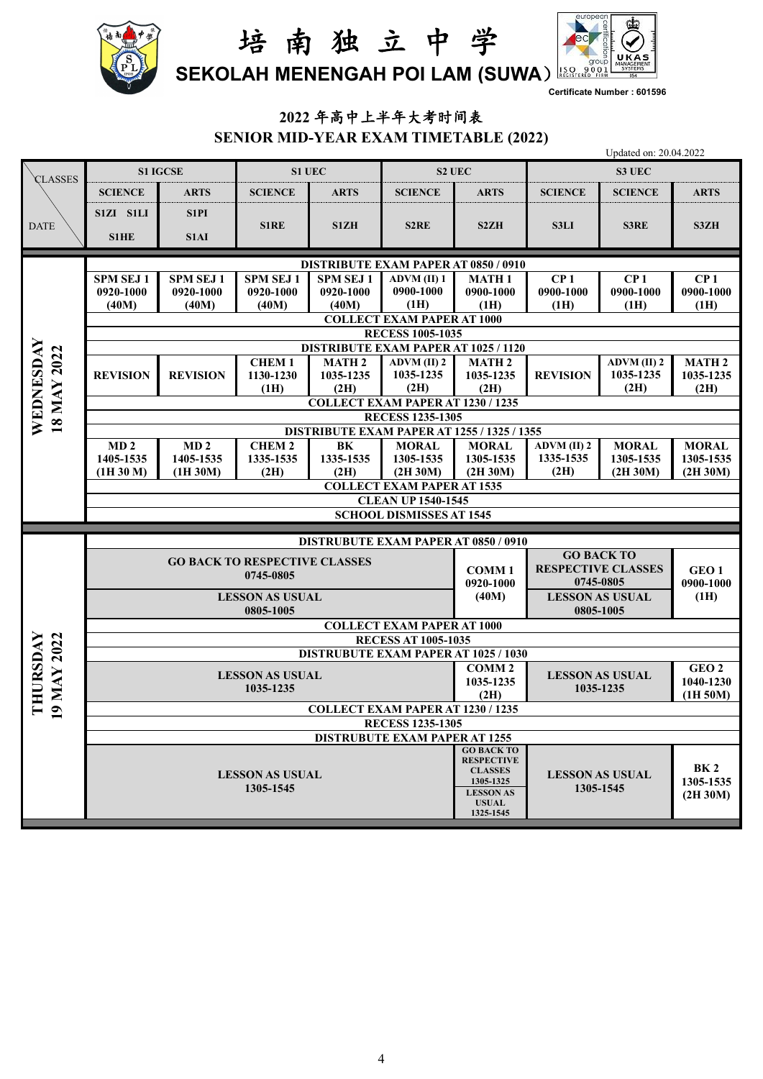



**Certificate Number : 601596**

# **2022** 年高中上半年大考时间表

**SENIOR MID-YEAR EXAM TIMETABLE (2022)**

|                          |                                                                               |                                                                 |                                      |                                               |                                                            | Updated on: 20.04.2022              |                                                |                       |                               |  |  |  |  |
|--------------------------|-------------------------------------------------------------------------------|-----------------------------------------------------------------|--------------------------------------|-----------------------------------------------|------------------------------------------------------------|-------------------------------------|------------------------------------------------|-----------------------|-------------------------------|--|--|--|--|
| CLASSES                  |                                                                               | <b>S1 IGCSE</b>                                                 |                                      | S1 UEC                                        |                                                            | S2 UEC                              |                                                | S3 UEC                |                               |  |  |  |  |
|                          | <b>SCIENCE</b>                                                                | <b>ARTS</b>                                                     | <b>SCIENCE</b>                       | <b>ARTS</b>                                   | <b>SCIENCE</b>                                             | <b>ARTS</b>                         | <b>SCIENCE</b>                                 | <b>SCIENCE</b>        | <b>ARTS</b>                   |  |  |  |  |
| <b>DATE</b>              | S1ZI S1LI<br>S1HE                                                             | S <sub>1</sub> P <sub>I</sub><br>S1AI                           | S1RE                                 | S1ZH                                          | S <sub>2</sub> RE                                          | S <sub>2</sub> ZH                   | <b>S3LI</b>                                    | S3RE                  | S3ZH                          |  |  |  |  |
|                          |                                                                               |                                                                 |                                      |                                               | <b>DISTRIBUTE EXAM PAPER AT 0850 / 0910</b>                |                                     |                                                |                       |                               |  |  |  |  |
|                          | <b>SPM SEJ1</b>                                                               | <b>SPM SEJ1</b>                                                 | SPM SEJ 1                            | <b>SPM SEJ1</b>                               | <b>ADVM</b> (II) 1                                         | <b>MATH1</b>                        | CP <sub>1</sub>                                | CP <sub>1</sub>       | CP <sub>1</sub>               |  |  |  |  |
|                          | 0920-1000<br>(40M)                                                            | 0920-1000<br>(40M)                                              | 0920-1000<br>(40M)                   | 0920-1000<br>(40M)                            | 0900-1000<br>(1H)                                          | 0900-1000<br>(1H)                   | 0900-1000<br>(1H)                              | 0900-1000<br>(1H)     | 0900-1000<br>(1H)             |  |  |  |  |
|                          |                                                                               |                                                                 |                                      |                                               | <b>COLLECT EXAM PAPER AT 1000</b>                          |                                     |                                                |                       |                               |  |  |  |  |
|                          | <b>RECESS 1005-1035</b>                                                       |                                                                 |                                      |                                               |                                                            |                                     |                                                |                       |                               |  |  |  |  |
|                          |                                                                               |                                                                 | <b>CHEM1</b>                         |                                               | <b>DISTRIBUTE EXAM PAPER AT 1025 / 1120</b><br>ADVM (II) 2 | <b>MATH2</b>                        |                                                | ADVM (II) 2           | <b>MATH 2</b>                 |  |  |  |  |
|                          | <b>REVISION</b>                                                               | <b>REVISION</b>                                                 | 1130-1230                            | <b>MATH 2</b><br>1035-1235                    | 1035-1235                                                  | 1035-1235                           | <b>REVISION</b>                                | 1035-1235             | 1035-1235                     |  |  |  |  |
|                          |                                                                               |                                                                 | (1H)                                 | (2H)                                          | (2H)                                                       | (2H)                                |                                                | (2H)                  | (2H)                          |  |  |  |  |
|                          |                                                                               | COLLECT EXAM PAPER AT 1230 / 1235                               |                                      |                                               |                                                            |                                     |                                                |                       |                               |  |  |  |  |
| WEDNESDAY<br>18 MAY 2022 | <b>RECESS 1235-1305</b><br><b>DISTRIBUTE EXAM PAPER AT 1255 / 1325 / 1355</b> |                                                                 |                                      |                                               |                                                            |                                     |                                                |                       |                               |  |  |  |  |
|                          | MD <sub>2</sub>                                                               | MD <sub>2</sub>                                                 | <b>CHEM2</b>                         | BK                                            | <b>MORAL</b>                                               | <b>MORAL</b>                        | $ADVM$ (II) $2$                                | <b>MORAL</b>          | <b>MORAL</b>                  |  |  |  |  |
|                          | 1405-1535                                                                     | 1405-1535                                                       | 1335-1535<br>(2H)                    | 1335-1535<br>(2H)                             | 1305-1535<br>(2H 30M)                                      | 1305-1535<br>(2H 30M)               | 1335-1535<br>(2H)                              | 1305-1535<br>(2H 30M) | 1305-1535<br>(2H 30M)         |  |  |  |  |
|                          | (1H 30 M)                                                                     | (1H 30M)                                                        |                                      |                                               | <b>COLLECT EXAM PAPER AT 1535</b>                          |                                     |                                                |                       |                               |  |  |  |  |
|                          |                                                                               |                                                                 |                                      |                                               | <b>CLEAN UP 1540-1545</b>                                  |                                     |                                                |                       |                               |  |  |  |  |
|                          |                                                                               |                                                                 |                                      |                                               | <b>SCHOOL DISMISSES AT 1545</b>                            |                                     |                                                |                       |                               |  |  |  |  |
|                          |                                                                               |                                                                 |                                      |                                               | <b>DISTRUBUTE EXAM PAPER AT 0850 / 0910</b>                |                                     |                                                |                       |                               |  |  |  |  |
|                          |                                                                               |                                                                 | <b>GO BACK TO RESPECTIVE CLASSES</b> |                                               |                                                            | <b>COMM1</b>                        | <b>GO BACK TO</b><br><b>RESPECTIVE CLASSES</b> |                       |                               |  |  |  |  |
|                          |                                                                               |                                                                 | 0745-0805                            |                                               |                                                            | 0920-1000                           | 0745-0805                                      |                       | GEO <sub>1</sub><br>0900-1000 |  |  |  |  |
|                          |                                                                               |                                                                 | <b>LESSON AS USUAL</b>               |                                               |                                                            | (40M)                               | <b>LESSON AS USUAL</b>                         |                       | (1H)                          |  |  |  |  |
|                          | 0805-1005<br>0805-1005                                                        |                                                                 |                                      |                                               |                                                            |                                     |                                                |                       |                               |  |  |  |  |
|                          |                                                                               | <b>COLLECT EXAM PAPER AT 1000</b><br><b>RECESS AT 1005-1035</b> |                                      |                                               |                                                            |                                     |                                                |                       |                               |  |  |  |  |
|                          |                                                                               |                                                                 |                                      | <b>DISTRUBUTE EXAM PAPER AT 1025 / 1030</b>   |                                                            |                                     |                                                |                       |                               |  |  |  |  |
| 19 MAY 2022<br>THURSDAY  |                                                                               |                                                                 | <b>LESSON AS USUAL</b>               |                                               |                                                            | <b>COMM2</b>                        | <b>LESSON AS USUAL</b>                         |                       | GEO <sub>2</sub>              |  |  |  |  |
|                          |                                                                               |                                                                 | 1035-1235                            | 1035-1235<br>(2H)                             | 1035-1235                                                  |                                     | 1040-1230<br>(1H 50M)                          |                       |                               |  |  |  |  |
|                          |                                                                               | COLLECT EXAM PAPER AT 1230 / 1235                               |                                      |                                               |                                                            |                                     |                                                |                       |                               |  |  |  |  |
|                          |                                                                               |                                                                 |                                      |                                               | <b>RECESS 1235-1305</b>                                    |                                     |                                                |                       |                               |  |  |  |  |
|                          |                                                                               |                                                                 |                                      |                                               | <b>DISTRUBUTE EXAM PAPER AT 1255</b>                       | <b>GO BACK TO</b>                   |                                                |                       |                               |  |  |  |  |
|                          |                                                                               |                                                                 |                                      |                                               |                                                            | <b>RESPECTIVE</b><br><b>CLASSES</b> |                                                |                       | BK <sub>2</sub>               |  |  |  |  |
|                          |                                                                               |                                                                 | <b>LESSON AS USUAL</b><br>1305-1545  |                                               |                                                            | 1305-1325                           | <b>LESSON AS USUAL</b>                         |                       | 1305-1535                     |  |  |  |  |
|                          |                                                                               |                                                                 |                                      | <b>LESSON AS</b><br><b>USUAL</b><br>1325-1545 | 1305-1545                                                  |                                     | (2H 30M)                                       |                       |                               |  |  |  |  |